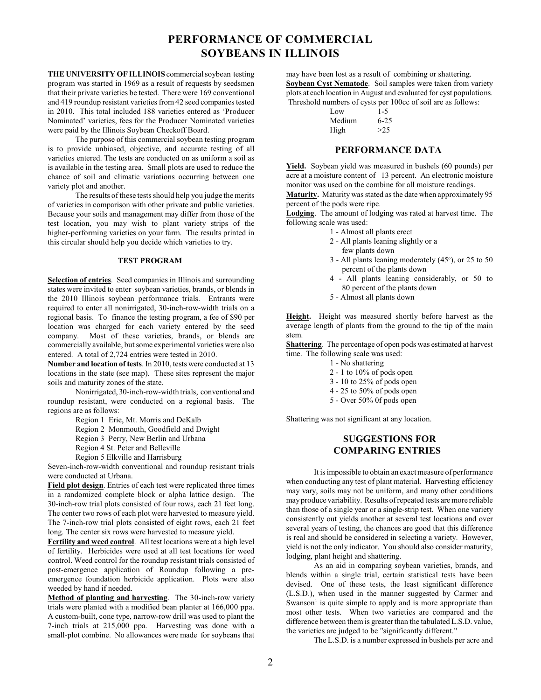# **PERFORMANCE OF COMMERCIAL SOYBEANS IN ILLINOIS**

**THE UNIVERSITY OF ILLINOIS** commercial soybean testing program was started in 1969 as a result of requests by seedsmen that their private varieties be tested. There were 169 conventional and 419 roundup resistant varieties from 42 seed companies tested in 2010. This total included 188 varieties entered as 'Producer Nominated' varieties, fees for the Producer Nominated varieties were paid by the Illinois Soybean Checkoff Board.

The purpose of this commercial soybean testing program is to provide unbiased, objective, and accurate testing of all varieties entered. The tests are conducted on as uniform a soil as is available in the testing area. Small plots are used to reduce the chance of soil and climatic variations occurring between one variety plot and another.

The results of these tests should help you judge the merits of varieties in comparison with other private and public varieties. Because your soils and management may differ from those of the test location, you may wish to plant variety strips of the higher-performing varieties on your farm. The results printed in this circular should help you decide which varieties to try.

#### **TEST PROGRAM**

**Selection of entries**. Seed companies in Illinois and surrounding states were invited to enter soybean varieties, brands, or blends in the 2010 Illinois soybean performance trials. Entrants were required to enter all nonirrigated, 30-inch-row-width trials on a regional basis. To finance the testing program, a fee of \$90 per location was charged for each variety entered by the seed company. Most of these varieties, brands, or blends are commercially available, but some experimental varieties were also entered. A total of 2,724 entries were tested in 2010.

**Number and location of tests**. In 2010, tests were conducted at 13 locations in the state (see map). These sites represent the major soils and maturity zones of the state.

Nonirrigated, 30-inch-row-width trials, conventional and roundup resistant, were conducted on a regional basis. The regions are as follows:

Region 1 Erie, Mt. Morris and DeKalb

Region 2 Monmouth, Goodfield and Dwight

Region 3 Perry, New Berlin and Urbana

Region 4 St. Peter and Belleville

Region 5 Elkville and Harrisburg

Seven-inch-row-width conventional and roundup resistant trials were conducted at Urbana.

**Field plot design**. Entries of each test were replicated three times in a randomized complete block or alpha lattice design. The 30-inch-row trial plots consisted of four rows, each 21 feet long. The center two rows of each plot were harvested to measure yield. The 7-inch-row trial plots consisted of eight rows, each 21 feet long. The center six rows were harvested to measure yield.

**Fertility and weed control**. All test locations were at a high level of fertility. Herbicides were used at all test locations for weed control. Weed control for the roundup resistant trials consisted of post-emergence application of Roundup following a preemergence foundation herbicide application. Plots were also weeded by hand if needed.

**Method of planting and harvesting**. The 30-inch-row variety trials were planted with a modified bean planter at 166,000 ppa. A custom-built, cone type, narrow-row drill was used to plant the 7-inch trials at 215,000 ppa. Harvesting was done with a small-plot combine. No allowances were made for soybeans that may have been lost as a result of combining or shattering. **Soybean Cyst Nematode**. Soil samples were taken from variety plots at each location in August and evaluated for cyst populations. Threshold numbers of cysts per 100cc of soil are as follows:

| Low    | $1-5$    |  |  |
|--------|----------|--|--|
| Medium | $6 - 25$ |  |  |
| High   | >2.5     |  |  |

#### **PERFORMANCE DATA**

**Yield.** Soybean yield was measured in bushels (60 pounds) per acre at a moisture content of 13 percent. An electronic moisture monitor was used on the combine for all moisture readings.

**Maturity.** Maturity was stated as the date when approximately 95 percent of the pods were ripe.

**Lodging**. The amount of lodging was rated at harvest time. The following scale was used:

- 1 Almost all plants erect
- 2 All plants leaning slightly or a few plants down
- $3$  All plants leaning moderately (45 $\degree$ ), or 25 to 50 percent of the plants down
- 4 All plants leaning considerably, or 50 to 80 percent of the plants down
- 5 Almost all plants down

**Height.** Height was measured shortly before harvest as the average length of plants from the ground to the tip of the main stem.

**Shattering**. The percentage of open pods was estimated at harvest time. The following scale was used:

- 1 No shattering
- 2 1 to 10% of pods open
- 3 10 to 25% of pods open
- 4 25 to 50% of pods open
- 5 Over 50% 0f pods open

Shattering was not significant at any location.

# **SUGGESTIONS FOR COMPARING ENTRIES**

It is impossible to obtain an exact measure of performance when conducting any test of plant material. Harvesting efficiency may vary, soils may not be uniform, and many other conditions mayproduce variability. Results of repeated tests are more reliable than those of a single year or a single-strip test. When one variety consistently out yields another at several test locations and over several years of testing, the chances are good that this difference is real and should be considered in selecting a variety. However, yield is not the only indicator. You should also consider maturity, lodging, plant height and shattering.

As an aid in comparing soybean varieties, brands, and blends within a single trial, certain statistical tests have been devised. One of these tests, the least significant difference (L.S.D.), when used in the manner suggested by Carmer and Swanson<sup> $1$ </sup> is quite simple to apply and is more appropriate than most other tests. When two varieties are compared and the difference between them is greater than the tabulated L.S.D. value, the varieties are judged to be "significantly different."

The L.S.D. is a number expressed in bushels per acre and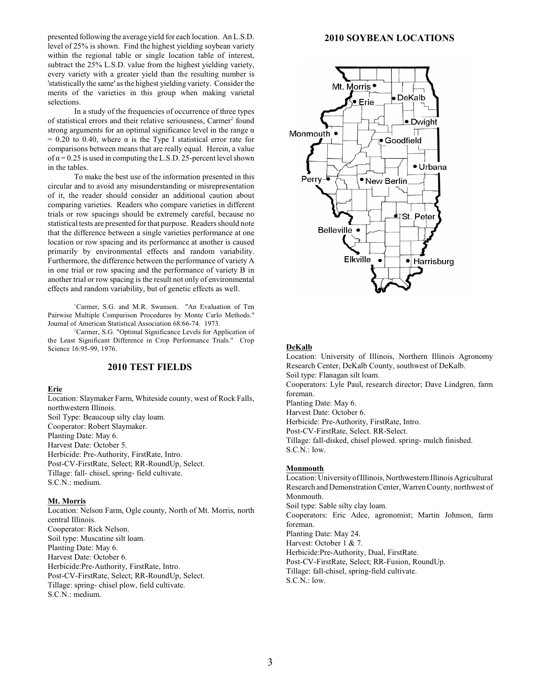presented following the average yield for each location. An L.S.D. level of 25% is shown. Find the highest yielding soybean variety within the regional table or single location table of interest, subtract the 25% L.S.D. value from the highest yielding variety, every variety with a greater yield than the resulting number is 'statistically the same' asthe highest yielding variety. Consider the merits of the varieties in this group when making varietal selections.

In a study of the frequencies of occurrence of three types of statistical errors and their relative seriousness, Carmer<sup>2</sup> found strong arguments for an optimal significance level in the range  $\alpha$  $= 0.20$  to 0.40, where  $\alpha$  is the Type I statistical error rate for comparisons between means that are really equal. Herein, a value of  $\alpha$  = 0.25 is used in computing the L.S.D. 25-percent level shown in the tables.

To make the best use of the information presented in this circular and to avoid any misunderstanding or misrepresentation of it, the reader should consider an additional caution about comparing varieties. Readers who compare varieties in different trials or row spacings should be extremely careful, because no statistical tests are presented for that purpose. Readers should note that the difference between a single varieties performance at one location or row spacing and its performance at another is caused primarily by environmental effects and random variability. Furthermore, the difference between the performance of variety A in one trial or row spacing and the performance of variety B in another trial or row spacing is the result not only of environmental effects and random variability, but of genetic effects as well.

<sup>1</sup>Carmer, S.G. and M.R. Swanson. "An Evaluation of Ten Pairwise Multiple Comparison Procedures by Monte Carlo Methods." Journal of American Statistical Association 68:66-74. 1973.

<sup>2</sup>Carmer, S.G. "Optimal Significance Levels for Application of the Least Significant Difference in Crop Performance Trials." Crop Science 16:95-99, 1976.

## **2010 TEST FIELDS**

**Erie**

Location: Slaymaker Farm, Whiteside county, west of Rock Falls, northwestern Illinois. Soil Type: Beaucoup silty clay loam. Cooperator: Robert Slaymaker. Planting Date: May 6. Harvest Date: October 5. Herbicide: Pre-Authority, FirstRate, Intro. Post-CV-FirstRate, Select; RR-RoundUp, Select. Tillage: fall- chisel, spring- field cultivate. S.C.N.: medium.

#### **Mt. Morris**

Location: Nelson Farm, Ogle county, North of Mt. Morris, north central Illinois. Cooperator: Rick Nelson. Soil type: Muscatine silt loam. Planting Date: May 6. Harvest Date: October 6. Herbicide:Pre-Authority, FirstRate, Intro. Post-CV-FirstRate, Select; RR-RoundUp, Select. Tillage: spring- chisel plow, field cultivate. S.C.N.: medium.

#### **2010 SOYBEAN LOCATIONS**



#### **DeKalb**

Location: University of Illinois, Northern Illinois Agronomy Research Center, DeKalb County, southwest of DeKalb. Soil type: Flanagan silt loam. Cooperators: Lyle Paul, research director; Dave Lindgren, farm foreman. Planting Date: May 6. Harvest Date: October 6. Herbicide: Pre-Authority, FirstRate, Intro. Post-CV-FirstRate, Select. RR-Select. Tillage: fall-disked, chisel plowed. spring- mulch finished. S.C.N.: low.

#### **Monmouth**

Location: University of Illinois, Northwestern Illinois Agricultural Research and Demonstration Center, Warren County, northwest of Monmouth. Soil type: Sable silty clay loam. Cooperators: Eric Adee, agronomist; Martin Johnson, farm foreman. Planting Date: May 24. Harvest: October 1 & 7. Herbicide:Pre-Authority, Dual, FirstRate. Post-CV-FirstRate, Select; RR-Fusion, RoundUp. Tillage: fall-chisel, spring-field cultivate. S.C.N.: low.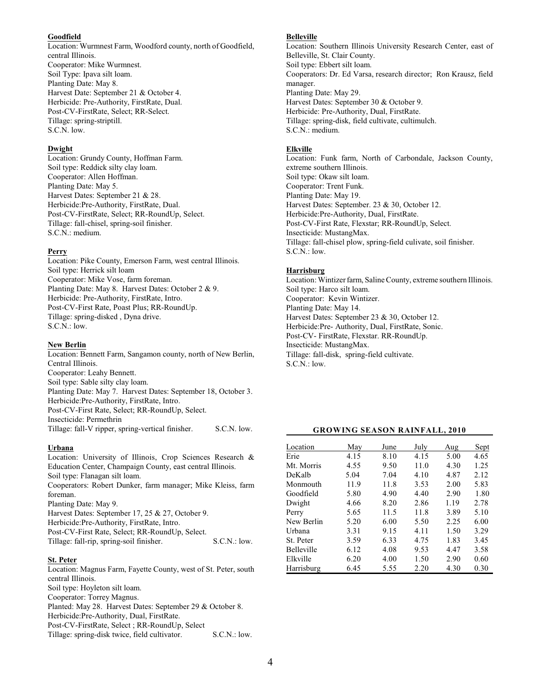#### **Goodfield**

Location: Wurmnest Farm, Woodford county, north of Goodfield, central Illinois. Cooperator: Mike Wurmnest. Soil Type: Ipava silt loam. Planting Date: May 8. Harvest Date: September 21 & October 4. Herbicide: Pre-Authority, FirstRate, Dual. Post-CV-FirstRate, Select; RR-Select. Tillage: spring-striptill. S.C.N. low.

### **Dwight**

Location: Grundy County, Hoffman Farm. Soil type: Reddick silty clay loam. Cooperator: Allen Hoffman. Planting Date: May 5. Harvest Dates: September 21 & 28. Herbicide:Pre-Authority, FirstRate, Dual. Post-CV-FirstRate, Select; RR-RoundUp, Select. Tillage: fall-chisel, spring-soil finisher. S.C.N.: medium.

### **Perry**

Location: Pike County, Emerson Farm, west central Illinois. Soil type: Herrick silt loam Cooperator: Mike Vose, farm foreman. Planting Date: May 8. Harvest Dates: October 2 & 9. Herbicide: Pre-Authority, FirstRate, Intro. Post-CV-First Rate, Poast Plus; RR-RoundUp. Tillage: spring-disked , Dyna drive. S.C.N.: low.

## **New Berlin**

Location: Bennett Farm, Sangamon county, north of New Berlin, Central Illinois. Cooperator: Leahy Bennett. Soil type: Sable silty clay loam. Planting Date: May 7. Harvest Dates: September 18, October 3. Herbicide:Pre-Authority, FirstRate, Intro. Post-CV-First Rate, Select; RR-RoundUp, Select. Insecticide: Permethrin Tillage: fall-V ripper, spring-vertical finisher. S.C.N. low.

### **Urbana**

Location: University of Illinois, Crop Sciences Research & Education Center, Champaign County, east central Illinois. Soil type: Flanagan silt loam. Cooperators: Robert Dunker, farm manager; Mike Kleiss, farm foreman. Planting Date: May 9. Harvest Dates: September 17, 25 & 27, October 9. Herbicide:Pre-Authority, FirstRate, Intro. Post-CV-First Rate, Select; RR-RoundUp, Select. Tillage: fall-rip, spring-soil finisher. S.C.N.: low.

### **St. Peter**

Location: Magnus Farm, Fayette County, west of St. Peter, south central Illinois. Soil type: Hoyleton silt loam. Cooperator: Torrey Magnus. Planted: May 28. Harvest Dates: September 29 & October 8.

Herbicide:Pre-Authority, Dual, FirstRate.

Post-CV-FirstRate, Select ; RR-RoundUp, Select

Tillage: spring-disk twice, field cultivator. S.C.N.: low.

### **Belleville**

Location: Southern Illinois University Research Center, east of Belleville, St. Clair County. Soil type: Ebbert silt loam. Cooperators: Dr. Ed Varsa, research director; Ron Krausz, field manager. Planting Date: May 29. Harvest Dates: September 30 & October 9. Herbicide: Pre-Authority, Dual, FirstRate. Tillage: spring-disk, field cultivate, cultimulch. S.C.N.: medium.

### **Elkville**

Location: Funk farm, North of Carbondale, Jackson County, extreme southern Illinois. Soil type: Okaw silt loam. Cooperator: Trent Funk. Planting Date: May 19. Harvest Dates: September. 23 & 30, October 12. Herbicide:Pre-Authority, Dual, FirstRate. Post-CV-First Rate, Flexstar; RR-RoundUp, Select. Insecticide: MustangMax. Tillage: fall-chisel plow, spring-field culivate, soil finisher. S.C.N.: low.

## **Harrisburg**

Location: Wintizer farm, Saline County, extreme southern Illinois. Soil type: Harco silt loam. Cooperator: Kevin Wintizer. Planting Date: May 14. Harvest Dates: September 23 & 30, October 12. Herbicide:Pre- Authority, Dual, FirstRate, Sonic. Post-CV- FirstRate, Flexstar. RR-RoundUp. Insecticide: MustangMax. Tillage: fall-disk, spring-field cultivate. S.C.N.: low.

## **GROWING SEASON RAINFALL, 2010**

| Location          | May  | June | July | Aug  | Sept |
|-------------------|------|------|------|------|------|
| Erie              | 4.15 | 8.10 | 4.15 | 5.00 | 4.65 |
| Mt. Morris        | 4.55 | 9.50 | 11.0 | 4.30 | 1.25 |
| DeKalb            | 5.04 | 7.04 | 4.10 | 4.87 | 2.12 |
| Monmouth          | 11.9 | 11.8 | 3.53 | 2.00 | 5.83 |
| Goodfield         | 5.80 | 4.90 | 4.40 | 2.90 | 1.80 |
| Dwight            | 4.66 | 8.20 | 2.86 | 1.19 | 2.78 |
| Perry             | 5.65 | 11.5 | 11.8 | 3.89 | 5.10 |
| New Berlin        | 5.20 | 6.00 | 5.50 | 2.25 | 6.00 |
| Urbana            | 3.31 | 9.15 | 4.11 | 1.50 | 3.29 |
| St. Peter         | 3.59 | 6.33 | 4.75 | 1.83 | 3.45 |
| <b>Belleville</b> | 6.12 | 4.08 | 9.53 | 4.47 | 3.58 |
| Elkville          | 6.20 | 4.00 | 1.50 | 2.90 | 0.60 |
| Harrisburg        | 6.45 | 5.55 | 2.20 | 4.30 | 0.30 |